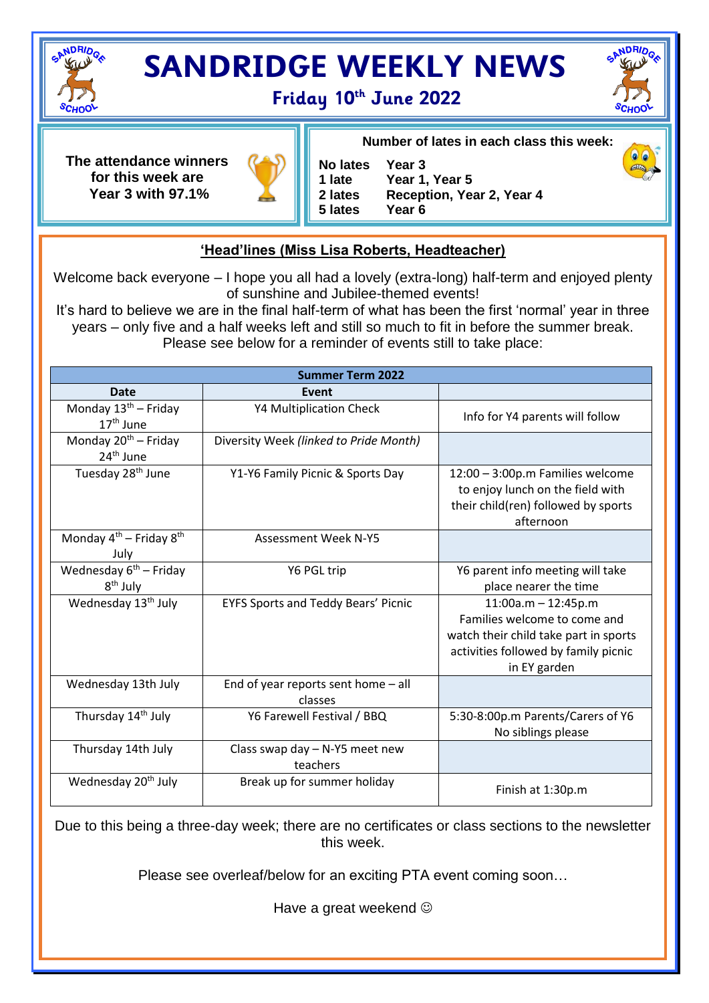

## **SANDRIDGE WEEKLY NEWS**





**The attendance winners for this week are Year 3 with 97.1%**



**No lates Year 3 Year 1, Year 5 2 lates Reception, Year 2, Year 4 5 lates Year 6**

**Number of lates in each class this week:**

## **'Head'lines (Miss Lisa Roberts, Headteacher)**

Welcome back everyone – I hope you all had a lovely (extra-long) half-term and enjoyed plenty of sunshine and Jubilee-themed events!

It's hard to believe we are in the final half-term of what has been the first 'normal' year in three years – only five and a half weeks left and still so much to fit in before the summer break. Please see below for a reminder of events still to take place:

| <b>Summer Term 2022</b>                            |                                                  |                                                                                                                                                        |
|----------------------------------------------------|--------------------------------------------------|--------------------------------------------------------------------------------------------------------------------------------------------------------|
| Date                                               | Event                                            |                                                                                                                                                        |
| Monday $13^{th}$ – Friday<br>$17th$ June           | <b>Y4 Multiplication Check</b>                   | Info for Y4 parents will follow                                                                                                                        |
| Monday $20^{th}$ – Friday<br>24 <sup>th</sup> June | Diversity Week (linked to Pride Month)           |                                                                                                                                                        |
| Tuesday 28 <sup>th</sup> June                      | Y1-Y6 Family Picnic & Sports Day                 | 12:00 - 3:00p.m Families welcome<br>to enjoy lunch on the field with<br>their child(ren) followed by sports<br>afternoon                               |
| Monday $4^{th}$ – Friday $8^{th}$<br>July          | <b>Assessment Week N-Y5</b>                      |                                                                                                                                                        |
| Wednesday $6th$ – Friday<br>8 <sup>th</sup> July   | Y6 PGL trip                                      | Y6 parent info meeting will take<br>place nearer the time                                                                                              |
| Wednesday 13 <sup>th</sup> July                    | <b>EYFS Sports and Teddy Bears' Picnic</b>       | $11:00a.m - 12:45p.m$<br>Families welcome to come and<br>watch their child take part in sports<br>activities followed by family picnic<br>in EY garden |
| Wednesday 13th July                                | End of year reports sent home $-$ all<br>classes |                                                                                                                                                        |
| Thursday 14 <sup>th</sup> July                     | Y6 Farewell Festival / BBQ                       | 5:30-8:00p.m Parents/Carers of Y6<br>No siblings please                                                                                                |
| Thursday 14th July                                 | Class swap day - N-Y5 meet new<br>teachers       |                                                                                                                                                        |
| Wednesday 20 <sup>th</sup> July                    | Break up for summer holiday                      | Finish at 1:30p.m                                                                                                                                      |

Due to this being a three-day week; there are no certificates or class sections to the newsletter this week.

Please see overleaf/below for an exciting PTA event coming soon…

Have a great weekend  $\odot$